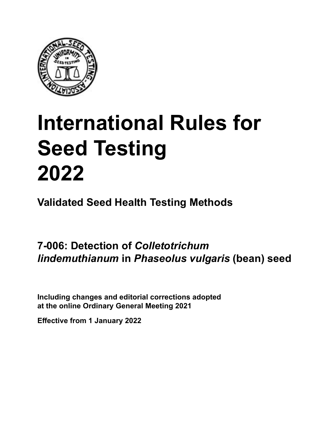

# **International Rules for Seed Testing von Saatgut 2022 2022 Semences 2022 International Rules for Seed Testing 2022**

**Métodos Validados para Análisis de Sanidad de Semillas Validate Méthodes Validées pour Analyse Sanitaire des Semences Validated Seed Health Testing Methods**

**7‑006: Detección de** *Colletotrichum* **Nachweis von** *Colletotrichum* **Détection de** *Colletotrichum l*<br>*lindemuthianum* in *Phaseolus vulgaris* (be *vulgaris* **(frijol) an Samen von** *Phaseolus* **(Bohne) sur semences de** *Phaseolus* **(haricot) 7‑006: Detection of** *Colletotrichum lindemuthianum* **in** *Phaseolus vulgaris* **(bean) seed**

Including changes and editorial corrections adopted at the online Ordinary General Meeting 2021

**Effective from 1 January 2022**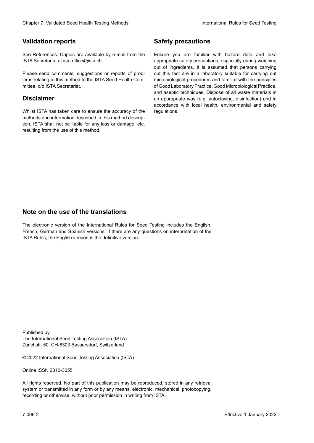# **Validation reports**

See References. Copies are available by e-mail from the<br>ISTA Secretariat at ista.office@ista.ch. ISTA Secretariat at ista.office@ista.ch.

lems relating to this method to the ISTA Seed Health Com-<br>mittee, c/o ISTA Secretariat. mittee, c/o ISTA Secretariat.<br>i Please send comments, suggestions or reports of prob-

# **Limitation de responsabilité Disclaimer**

Whilst ISTA has taken care to ensure the accuracy of the<br>methods and information described in this method description, ISTA shall not be liable for any loss or damage, etc.<br>resulting from the use of this method.<br>. resulting from the use of this method. Whilst ISTA has taken care to ensure the accuracy of the methods and information described in this method descrip-<br>tion, ISTA shall not be liable for any loss or damage, etc. tion, ISTA shall not be liable for any loss or damage, etc.<br>resulting from the use of this method.

# **Medidas de seguridad Sicherheitsmaßnahmen Sécurité Safety precautions**

Ensure you are familiar with hazard data and take Ensure you are familiar with hazard data and take<br>appropriate safety precautions, especially during weighing out of ingredients. It is assumed that persons carrying out this test are in a laboratory suitable for carrying out microbiological procedures and familiar with the principles of Good Laboratory Practice, Good Microbiological Practice, and aseptic techniques. Dispose of all waste materials in an appropriate way (e.g. autoclaving, disinfection) and in accordance with local health, environmental and safety regulations. Glade 7: Validated Deed Health Testing holes by Safety precentions and the Sack Testing about the Sack Testing Control of the Sack Testing von Sale of the Unit of the Sack Testing volume of the Unit of the Sack Testing vol microbiological procedures and familiar with the principles<br>of Good Laboratory Practice, Good Microbiological Practice,<br>and aseptic techniques. Dispose of all waste materials in<br>an appropriate way (e.g. autoclaving, disinf fallstoffe sind auf geeignete Weise und entsprechend der vor Ort über der vor Ort über und Umwelt- und Umwelt-<br>Eine und Umwelt-Effective Counter of Nicholas Devel Teach Teach Teach Devel Safety precedutions<br>
Validation reports<br>
Safety precedution reports and the symbol state of the sementic of the symbol state of the based delay and share<br>
Propose of Good Laboratory Practice, Good Microbiological Practice,<br>and aseptic techniques. Dispose of all waste materials in<br>an appropriate way (e.g. autoclaving, disinfection) and in Validation reports<br>
Since The Texture 1988 and the mediator of the Since Theorem and Texture 1990 and the mediator of the mediator<br>
Since and outer many construction reports of the mediator of the mediator<br>
Since and outer Ensure you are familiar with hazard data and take<br>appropriate safety precautions, especially during weighing<br>out of ingredients. It is assumed that persons carrying<br>out this test are in a laboratory suitable for carrying o

# **Nota sobre el uso de traducciones Anmerkung zur Benutzung der Übersetzungen Note on the use of the translations**

The electronic version of the International Rules for Seed Testing includes the English, French, German and Spanish versions. If there are any questions on interpretation of the ISTA Rules, the English version is the definitive version. The electronic version of the International Rules for Seed Testing includes the English,<br>French, German and Spanish versions. If there are any questions on interpretation of the<br>ISTA Rules, the English version is the defin The electronic version of the International Rules for Seed Testing includes the English,<br>French, German and Spanish versions. If there are any questions on interpretation of the

Published by **Extending Association (ISTA)** The International Seed Testing Association (ISTA) Zürichstr. 50, CH-8303 Bassersdorf, Switzerland

© 2022 International Seed Testing Association (ISTA)

Alle Rechte vorbehalten. Kein Teil dieses Werkes darf in irgendwelcher Form oder durch Online ISSN 2310-3655

All rights reserved. No part of this publication may be reproduced, stored in any retrieval All rights reserved. No part of this publication may be reproduced, stored in any retrieval<br>system or transmitted in any form or by any means, electronic, mechanical, photocopying,<br>recording or otherwise, without prior per recording or otherwise, without prior permis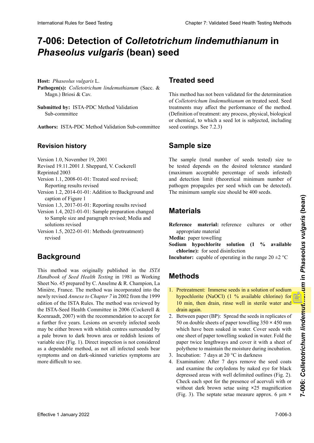# 7-006: Detection of *Colletotrichum lindemuthianum* in<br>*Phaseolus vulgaris* (bean) seed **semillas de** *Phaseolus vulgaris* **(frijol) Samen von** *Phaseolus vulgaris* **(Bohne)** *Phaseolus vulgaris* **(bean) seed**

**Hospedante:** *Phaseolus vulgaris* L. **Wirtspflanze:** *Phaseolus vulgaris* L. **Hôte :** *Phaseolus vulgaris* L. **Host:** *Phaseolus vulgaris* L. Pathogen(s): Colletotrichum lindemuthianum (Sacc. & Magn.) Briosi & Cav.

**Submitted by:** ISTA-PDC Method Validation Sub-committee

**Autores:** ISTA-PDC Method Validation Sub-committee **Autoren:** ISTA-PDC Method Validation Sub-committee **Préparé par :** Sous-Comité de Validation des Méthodes **Authors:** ISTA-PDC Method Validation Sub-committee

# **Historial de revisiones Revisionsstand Historique de la révision Revision history**

Version 1.0, November 19, 2001 version 1.0, inovernoer 19, 2001 version 1.0, inovember 19, 2001 Version 1.0, inovember 19, 2001

 $Revisea 19.11.2$  $Revisea 19.11.$ Revised 19.11.2001 J. Sheppard, V. Cockerell

Reprinted 2003

- Reprinted 2003<br>sion 1.1, 2008-01-01: Irea Reporting results revised  $\text{Keprinted } 2003$  $\sinh(1.1, 2008-01-01)$ : Treated seed revised;  $203$ Version 1.1, 2008-01-01: Treated seed revised;
- Version 1.2, 2014-01-01: Addition to Background and caption of Figure 1
- Version 1.3, 2017-01-01: Reporting results revised
- Version 1.4, 2021-01-01: Sample preparation changed to Sample size and paragraph revised; Media and solutions reviséd
- Version 1.5, 2022-01-01: Methods (pretreatment)<br>revised revised

# **Antecedentes Hintergrund Historique Background**

This method was originally published in the ISTA Handbook of Seed Health Testing in 1981 as Working<br>Sheet No. 45 prepared by C. Anselme & R. Champion, La<br>Minière, France, The method was incorporated into the Sheet No. 45 prepared by C. Anselme & R. Champion, La Minière, France. The method was incorporated into the newly revised *Annexe to Chapter* 7 in 2002 from the 1999<br>edition of the ISTA Rules. The method was reviewed by<br>the ISTA-Seed Health Committee in 2006 (Cockerell & edition of the ISTA Rules. The method was reviewed by the ISTA-Seed Health Committee in 2006 (Cockerell & acter the contracted committee in section contracted to the Las less decree that the Roenraadt, 2007) with the recommendation to accept for a further five years. Lesions on severely infected seeds a farmer five years. Economic of severely infected seeds ro a marron oscuro o lesiones romanos variables de tamaños variables de tamaños variables de tamaños variables<br>Zentren, un grande de tamaños variables brasiles de tamaños variables de tamaños variables de tamaños variables variable size (Fig. 1). Direct inspection is not considered variable size  $(\text{Fig. 1}).$  Dreet inspection is not considered as a dependable method, as not all infected seeds bear symptoms and on dark-skinned varieties symptoms are<br>more difficult to see. more difficult to see. a fame investigate. Example of severely interest seeds<br>may be either brown with whitish centres surrounded by<br>a pale brown to dark brown area or reddish lesions of<br>variable size (Fig. 1). Direct inspection is not considere International Rate Section of Collectorichum lindentified section in the Collectoric Collectoric Collectoric Collectoric Collectoric Collectoric Collectoric Collectoric Collectoric Collectoric Collectoric Collection and t a pale brown to dark brown area or reddish lesions of

# tratamientos a las semillas pueden afectar el desempeño tem) Saatgut. Saatgutbehandlungen können die Aussage-**Semences traitées Treated seed**

This method has not been validated for the determination of Colletotrichum lindemuthianum on treated seed. Seed position of dealinent, any process, physical, biological<br>or chemical, to which a seed lot is subjected, including  $\text{E}$  to damage. See  $(1,2,3)$ treatments may affect the performance of the method. 7.2.3). thode. (Définition de traitement : Tout de processus, phy-(Definition of treatment: any process, physical, biological **Probendings.** See 7.2 seed coatings. See 7.2.3)

#### deseada (porcentaje máximo aceptable de semillas infestadas) y del límite de detección (número mínimo teóri-Die Größe der zu prüfenden Probe (Gesamtzahl der geprüften Samen<br>
Samen Samen **Sample size**

co de propágulos del patógeno que puede ser detectado por sample (total number of seeds tested) size to The sample (total number of seeds tested) size to<br>be tested depends on the desired tolerance standard pathogen propagules per seed which can be detected). (maximum acceptable percentage of seeds infested) and detection limit (theoretical minimum number of La taille de l'échantillon (nombre total de semences tes-The sample (total number of seeds tested) size to The minimum sample size should be 400 seeds.

### terial apropiado **Medio:** toalla de papel **Referenzmaterial:** Referenzkulturen oder andere geeig-**Matériel Materials**

Reference material: reference cultures or other<br>appropriate material **appropriate matérial** 

**Media:** paper towelling

- **chlorine**): for seed disinfection Sodium hypochlorite solution (1 % available
- **Methoden Incubator:** capable of operating in the range  $20 \pm 2$  °C

# **Methods**

- 1. Pretreatment: Immerse seeds in a solution of sodium hypochlorite (NaOCl) (1 % available chlorine) for <sup>1</sup>/<sub>1</sub> min then drain rinse well in sterile water and hypochlorite (NaOCl) (1 % available chlorine) for<br>10 min, then drain, rinse well in sterile water and<br>drain again drain again.
- 2. Between paper (BP): Spread the seeds in replicates of<br>50 on double sheets of paper towelling  $350 \times 450$  mm  $\frac{1}{20}$  on double sheets of paper towelling  $350 \times 450$  mm<br>which have have against in weten. Gaven goals with which have been soaked in water. Cover seeds with which have been soaked in water. Cover seeds while<br>one sheet of paper towelling soaked in water. Fold the one sneet of paper towering soarce in water. Foreign paper twice iengulways and cover it with a silect of porymene to manuam the moisture during includation. paper twice tenguiways and cover it with a slicet of polythene to maintain the moisture during incubation. sement de paper towelling soaked in water. Cover seems when<br>one sheet of paper twist de paper twist de paper twist de paper twist de papier de polythene to maintain the moisture during incubation. paper twice lengthways and cover it with a sheet of
- 3. Incubation: 7 days at 20 °C in darkness
- 3. Incubation: 7 days at 20  $^{\circ}$ C in darkness<br>4. Examination: After 7 days remove the seed coats and examine the cotyledons by naked eye for black depressed areas with well delimited outlines (Fig. 2). Check each spot for the presence of acervuli with or  $C$ without dark brown setae using **×**25 magnification (Fig. 3). The septate setae measure approx. 6  $\mu$ m ×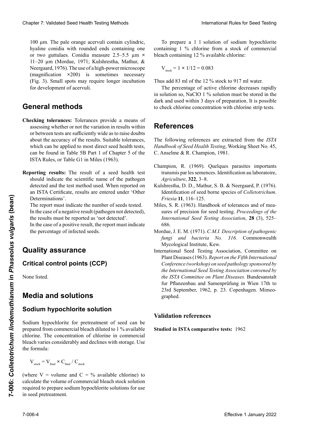100 µm. The pale orange acervuli contain cylindric, 100 µm. The pale orange acervuli contain cylindric, hyaline conidia with rounded ends containing one or two guttulaes. Conidia measure 2.5–5.5 µm ×<br>11–20 µm (Mordue, 1971; Kulshrestha, Mathur, & 11-20 µm (Mordue, 1971; Kulshrestha, Mathur, & Neergaard, 1976). The use of a high-power microscope  $(magnitudeation \times 200)$  is sometimes necessary **Metabolism** *M* and *M* and *M* and *M* and *M* and *M* and *M* and *M* and *M* and *M* and *M* and *M* and *M* and *M* and *M* and *M* and *M* and *M* and *M* and *M* and *M* and *M* and *M* and *M* and *M* and *M* and (Fig. 3). Small spots may require longer incubation Neergaard, 1976). The use of a high-power microscope<br>(magnification  $\times 200$ ) is sometimes necessary<br>(Fig. 3). Small spots may require longer incubation for development of acervuli. (magnification **×**200) is sometimes necessary

#### **C**<br>Chequeo de toderancias proporcionales proporcionales proporcionales proporcionales proporcionales proporcionan<br>Contradicto proporcionales proporcionales proporcionales proporcionales proporcionales proporcionales propo un medio para avalar si la variación en la variación en los resultados en los resultados en los resultados en<br>En los resultados en los resultados en los resultados en los resultados en los resultados en los resultados en **Méthodes générales General methods**

- ocking toleranees: Toleranees provide a means of assessing whether or not the variation in results within assessing whener or not the variation in results within about the accuracy of the results. Suitable tolerances, do su la de semilia de semilia de semilia de semilia de semilia de semilia de semilia de semilia de semilia de<br>En la Tablaanse en la Tablaanse en la Tablaanse en la Tablaanse en la Tablaanse en la Tablaanse en la Tablaans which can be applied to most direct seed health tests, can be found in Table 5B Part 1 of Chapter 5 of the **Uberprüfung der Tolerances:**<br> **Checking tolerances:** Tolerances provide a means of<br>
assessing whether or not the variation in results within<br>
an hetween tests are outfisiently wide as to mice deutes can be found in Table 3B Part 1 of Chapter 3 of the<br>ISTA Rules, or Table G1 in Miles (1963). **Checking tolerances:** Tolerances provide a means of
- **Informe de resultados:** El resultado de un análisis de sorting results: The result of a seed nearth test **Reporting results:** The result of a seed health test<br>should indicate the scientific name of the pathogen detected and the test method used. When reported on an ISTA Certificate, results are entered under 'Other<br>Determinations'. Determinations'. dans la Tableau G1 du Miles (1963). **Reporting results:** The result of a seed health test

The report must indicate the number of seeds tested. In the case of a negative result (pathogen not detected), the results must be reported as 'not detected'.

In the case of a positive result, the report must indicate<br>the percentage of infected seeds. the percentage of infected seeds.

# **Aseguramiento de calidad Quality assurance**

**Puntos críticos de control (PCC) Qualitätssicherung Critical control points (CCP)** 

None listed.

### **Medios y soluciones Media and solutions**

## **Solución de hipoclorito de sodio Medien und Lösungen Milieux et solutions Sodium hypochlorite solution**

Se puede preparar una solución de hipoclorito de sodio **Natriumhypochlorit-Lösung** prepared from commercial bleach diluted to 1 % available el prepared nom commercial ocean analysis of  $\lambda$  available chlorine. The concentration of chlorine in commercial cinomic. The concentration of cinomic in commercial  $\frac{1}{2}$ dicach varies considerably and declines with storage. Ose  $\mathbf{u}$  connula: Unionie. The concentration of unionie in commercial bicach vancs considerably and declines with storage. Osc triumhypochloriteitlauge) verdünnt werden auf eine Konzen-Sodium hypochlorite for pretreatment of seed can be bleach varies considerably and declines with storage. Use<br>the formula: the formula:

 $V_{\text{stock}}$  =  $V_{\text{final}} \wedge V_{\text{final}} / V_{\text{stock}}$  $\mathbf{t}$ tration von 1 % verfügbaren Chlorkonzentration von 1 % verfügbaren Chlorkonzentration von 2 % verfügbaren  $\alpha$  $\mathbf{v}_{\text{stock}} - \mathbf{v}_{\text{final}} \wedge \mathbf{C}_{\text{final}} / \mathbf{C}_{\text{stock}}$  $V_{\text{stock}} = V_{\text{final}} \times C_{\text{final}} / C_{\text{stock}}$ 

(where  $v =$  volume and  $C = \%$  available chlorine) to calculate the volume of commercial bleach stock solution required to prepare sodium hypochlorite solutions for use in seed pretreatment. und sinkt mit der Dauer der Lagerung. Die Berechnung der (where  $v =$  volume and  $C = \%$  available chlorine) to (where  $V =$  volume and  $C = \%$  available chlorine) to

To prepare a 1 l solution of sodium hypochlorite To prepare a 1 l solution of sodium hypochlorite containing 1 % chlorine from a stock of commercial bleach containing 12 % available chlorine:

$$
V_{\text{stock}} = 1 \times 1/12 = 0.083
$$

Thus add 83 ml of the 12 % stock to 917 ml water.

The percentage of active chlorine decreases rapidly in solution so, NaClO  $1\%$  solution must be stored in the dark and used within 3 days of preparation. It is possible dark and used within 3 days of preparation. It is possible to check chlorine concentration with chlorine strip tests.  $\frac{1}{2}$  dividends to check chloring concentration with chloring strip tests to check chlorine concentration with chlorine strip tests.

 $\frac{1}{\sqrt{2}}$ 

### D. h. 83ml der Stammlösung mit 917ml Wasser verdünnen. de chlore à l'aide de tests sur bandelettes de chlore. **References** Der Prozentsatz an aktivem Chlor nimmt in der Lösung

 $\frac{1}{\sqrt{1-\frac{1}{\sqrt{1-\frac{1}{\sqrt{1-\frac{1}{\sqrt{1-\frac{1}{\sqrt{1-\frac{1}{\sqrt{1-\frac{1}{\sqrt{1-\frac{1}{\sqrt{1-\frac{1}{\sqrt{1-\frac{1}{\sqrt{1-\frac{1}{\sqrt{1-\frac{1}{\sqrt{1-\frac{1}{\sqrt{1-\frac{1}{\sqrt{1-\frac{1}{\sqrt{1-\frac{1}{\sqrt{1-\frac{1}{\sqrt{1-\frac{1}{\sqrt{1-\frac{1}{\sqrt{1-\frac{1}{\sqrt{1-\frac{1}{\sqrt{1-\frac{1}{\sqrt{1-\frac{1}{\sqrt{1-\frac{1}{\sqrt{1-\frac{1}{$ Las siguientes referencias están extra*ídas están en la cada de la Cada de 1991* C. Anselme & R. Champion, 1981. The following ferences are extracted from the  $1517$ Handbook of Seed Health Testing, Working Sheet No. 45, The following references are extracted from the *ISTA*<br>
Handbook of Seed Health Testing Working Sheet No. 45

- Anselme & R. Champion, 1981. *of Seed Health Testing*, Working Sheet No. 45, C. Anselme transmis par les semences. Identification au laboratoire, Agriculture, **322**, 3–8. Champion, R. (1969). Quelques parasites importants
- Kulshrestha, D. D., Mathur, S. B. & Neergaard, P. (1976). Identification of seed borne species of *Colletotrichum*.<br>Friesia 11, 116–125. Identification of seed borne species of *Colletotrichum*. Kulshrestha, D. D., Mathur, S. B. & Neergaard, P. (1976). *Friesia* **11**, 116–125.
- Miles, S. R. (1963). Handbook of tolerances and of measures of precision for seed testing. Proceedings of the International Seed Testing Association, 28 (3), 525– *International Seed Testing Association*, **28** (3), 525– *Agriculture*, **322**, 3–8. 686. sures of precision for seed testing. *Proceedings of the*
- Mordue, J. E. M. (1971). C.M.I. Description of pathogenic<br>fungi and bacteria No. 316. Commonwealth<br>Mycological Institute, Kew. fungi and bacteria No. 316. Commonwealth *Mycological Institute, Kew.* 2007.
- Mycological Institute, Kew.<br>International Seed Testing Association, Committee on Plant Diseases (1963). Report on the Fifth International<br>Conference (workshop) on seed pathology sponsored by Conference (workshop) on seed pathology sponsored by *Conference (workshop) on seed pathology sponsored by*  686. *the International Seed Testing Association convened by*  Conference (workshop) on seed pathology sponsored by<br>the International Seed Testing Association convened by<br>the ISTA Committee on Plant Diseases. Bundesanstalt<br>fur Pflanzenbau and Samenprüfung in Wien 17th to<br>23rd Septembe fur Pflanzenbau and Samenprüfung in Wien 17th to  $23rd$  September 1962 n  $23$  Copenhagen Mimeo- $\frac{1}{2}$   $\frac{1}{2}$   $\frac{1}{2}$   $\frac{1}{2}$   $\frac{1}{2}$   $\frac{1}{2}$   $\frac{1}{2}$   $\frac{1}{2}$   $\frac{1}{2}$   $\frac{1}{2}$   $\frac{1}{2}$   $\frac{1}{2}$   $\frac{1}{2}$   $\frac{1}{2}$   $\frac{1}{2}$   $\frac{1}{2}$   $\frac{1}{2}$   $\frac{1}{2}$   $\frac{1}{2}$   $\frac{1}{2}$   $\frac{1}{2}$   $\frac{1}{2}$   $\overline{a}$ Clearlier 2. Validated Best Fescin Herista (heliottics)<br>
1601 una The palacetes except with containing one constantly 1.5 obtains from a state of some<br>sets of the palacetes except international clear of the palacetes of t graphed. Plant Diseases (1963). *Report on the Fifth International*  Chaos 7 Voldated Seed Health Foring Medicine Towns in the number of the British River for the Tomas Chaos and Sulling The Tomas Chaos and Sulling The Chaos Chaos and Sulling The Chaos Chaos and Sulling The Chaos Chaos and 10 am. The public use computer levolution commerciale requise positive of solution commerciale requise policies of the solution of the solution of the solution of the solution of the solution of the solution of the soluti  $\frac{1}{\text{graphed}}$  $2<sub>1</sub>$ **Effective 1** Determinions'.<br>
The report must indicate the number of seeds tested.<br>
The tector of negative result (pathogen not detected),<br>
the the associal responses of a negative result (pathogen not detected),<br>
the pre *the ISTA Committee on Plant Diseases.* Bundesanstalt 23rd September, 1962, p. 23. Copenhagen. Mimeo-

#### **Referencias de validación** *the International Seed Testing Association convened by*  **Validation references** *the ISTA Committee on Plant Diseases.* Bundesanstalt

**Estudiado en análisis comparativos de ISTA:** 1962  $\frac{1}{2}$  in ISTA compositive tecter  $1062$  $\frac{23.77}{23.7}$  and  $\frac{23.77}{23.7}$ **Studied in ISTA comparative tests:** 1962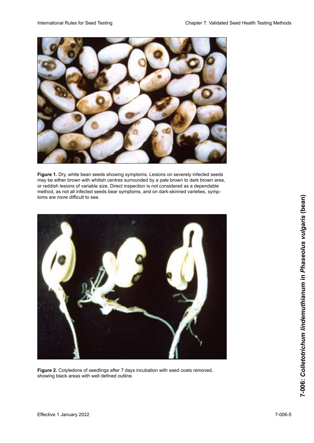

**Figure 1.** Dry, white bean seeds showing symptoms. Lesions on severely infected seeds may be either brown with whitish centres surrounded by a pale brown to dark brown area, or reddish lesions of variable size. Direct inspection is not considered as a dependable method, as not all infected seeds bear symptoms, and on dark-skinned varieties, symptoms are more difficult to see. The control of the control of the control of the control of the control of the control of the control of the control of the control of the control of the control of the control of the contro



**Figure 2.** Cotyledons of seedlings after 7 days incubation with seed coats removed, showing black areas with well defined outline.